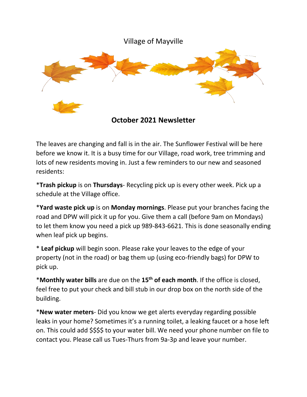

**October 2021 Newsletter**

The leaves are changing and fall is in the air. The Sunflower Festival will be here before we know it. It is a busy time for our Village, road work, tree trimming and lots of new residents moving in. Just a few reminders to our new and seasoned residents:

\***Trash pickup** is on **Thursdays**- Recycling pick up is every other week. Pick up a schedule at the Village office.

\***Yard waste pick up** is on **Monday mornings**. Please put your branches facing the road and DPW will pick it up for you. Give them a call (before 9am on Mondays) to let them know you need a pick up 989-843-6621. This is done seasonally ending when leaf pick up begins.

\* **Leaf pickup** will begin soon. Please rake your leaves to the edge of your property (not in the road) or bag them up (using eco-friendly bags) for DPW to pick up.

\***Monthly water bills** are due on the **15th of each month**. If the office is closed, feel free to put your check and bill stub in our drop box on the north side of the building.

\***New water meters**- Did you know we get alerts everyday regarding possible leaks in your home? Sometimes it's a running toilet, a leaking faucet or a hose left on. This could add \$\$\$\$ to your water bill. We need your phone number on file to contact you. Please call us Tues-Thurs from 9a-3p and leave your number.